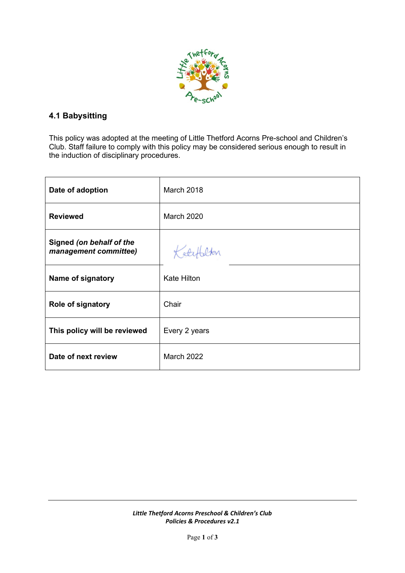

## **4.1 Babysitting**

This policy was adopted at the meeting of Little Thetford Acorns Pre-school and Children's Club. Staff failure to comply with this policy may be considered serious enough to result in the induction of disciplinary procedures.

| Date of adoption                                  | March 2018         |
|---------------------------------------------------|--------------------|
| <b>Reviewed</b>                                   | <b>March 2020</b>  |
| Signed (on behalf of the<br>management committee) | Kater              |
| Name of signatory                                 | <b>Kate Hilton</b> |
| <b>Role of signatory</b>                          | Chair              |
| This policy will be reviewed                      | Every 2 years      |
| Date of next review                               | <b>March 2022</b>  |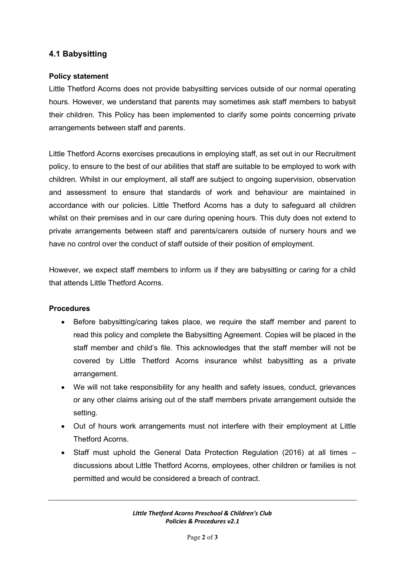## **4.1 Babysitting**

## **Policy statement**

Little Thetford Acorns does not provide babysitting services outside of our normal operating hours. However, we understand that parents may sometimes ask staff members to babysit their children. This Policy has been implemented to clarify some points concerning private arrangements between staff and parents.

Little Thetford Acorns exercises precautions in employing staff, as set out in our Recruitment policy, to ensure to the best of our abilities that staff are suitable to be employed to work with children. Whilst in our employment, all staff are subject to ongoing supervision, observation and assessment to ensure that standards of work and behaviour are maintained in accordance with our policies. Little Thetford Acorns has a duty to safeguard all children whilst on their premises and in our care during opening hours. This duty does not extend to private arrangements between staff and parents/carers outside of nursery hours and we have no control over the conduct of staff outside of their position of employment.

However, we expect staff members to inform us if they are babysitting or caring for a child that attends Little Thetford Acorns.

## **Procedures**

- Before babysitting/caring takes place, we require the staff member and parent to read this policy and complete the Babysitting Agreement. Copies will be placed in the staff member and child's file. This acknowledges that the staff member will not be covered by Little Thetford Acorns insurance whilst babysitting as a private arrangement.
- We will not take responsibility for any health and safety issues, conduct, grievances or any other claims arising out of the staff members private arrangement outside the setting.
- Out of hours work arrangements must not interfere with their employment at Little Thetford Acorns.
- Staff must uphold the General Data Protection Regulation (2016) at all times discussions about Little Thetford Acorns, employees, other children or families is not permitted and would be considered a breach of contract.